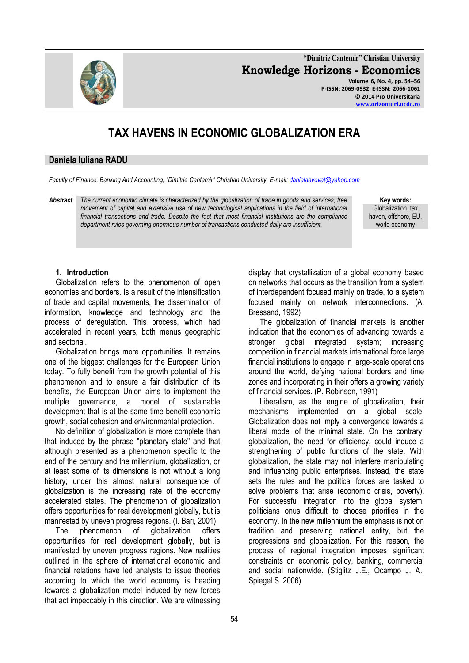**"Dimitrie Cantemir" Christian University Knowledge Horizons - Economics Volume 6, No. 4, pp. 54–56 P-ISSN: 2069-0932, E-ISSN: 2066-1061**

# **TAX HAVENS IN ECONOMIC GLOBALIZATION ERA**

#### **Daniela Iuliana RADU**

*Faculty of Finance, Banking And Accounting, "Dimitrie Cantemir" Christian University, E-mail[: danielaavovat@yahoo.com](mailto:danielaavovat@yahoo.com)*

*Abstract The current economic climate is characterized by the globalization of trade in goods and services, free*  movement of capital and extensive use of new technological applications in the field of international *financial transactions and trade. Despite the fact that most financial institutions are the compliance department rules governing enormous number of transactions conducted daily are insufficient.*

**Key words:** Globalization, tax haven, offshore, EU, world economy

#### **1. Introduction**

Globalization refers to the phenomenon of open economies and borders. Is a result of the intensification of trade and capital movements, the dissemination of information, knowledge and technology and the process of deregulation. This process, which had accelerated in recent years, both menus geographic and sectorial.

Globalization brings more opportunities. It remains one of the biggest challenges for the European Union today. To fully benefit from the growth potential of this phenomenon and to ensure a fair distribution of its benefits, the European Union aims to implement the multiple governance, a model of sustainable development that is at the same time benefit economic growth, social cohesion and environmental protection.

No definition of globalization is more complete than that induced by the phrase "planetary state" and that although presented as a phenomenon specific to the end of the century and the millennium, globalization, or at least some of its dimensions is not without a long history; under this almost natural consequence of globalization is the increasing rate of the economy accelerated states. The phenomenon of globalization offers opportunities for real development globally, but is manifested by uneven progress regions. (I. Bari, 2001)

The phenomenon of globalization offers opportunities for real development globally, but is manifested by uneven progress regions. New realities outlined in the sphere of international economic and financial relations have led analysts to issue theories according to which the world economy is heading towards a globalization model induced by new forces that act impeccably in this direction. We are witnessing

display that crystallization of a global economy based on networks that occurs as the transition from a system of interdependent focused mainly on trade, to a system focused mainly on network interconnections. (A. Bressand, 1992)

The globalization of financial markets is another indication that the economies of advancing towards a stronger global integrated system; increasing competition in financial markets international force large financial institutions to engage in large-scale operations around the world, defying national borders and time zones and incorporating in their offers a growing variety of financial services. (P. Robinson, 1991)

Liberalism, as the engine of globalization, their mechanisms implemented on a global scale. Globalization does not imply a convergence towards a liberal model of the minimal state. On the contrary, globalization, the need for efficiency, could induce a strengthening of public functions of the state. With globalization, the state may not interfere manipulating and influencing public enterprises. Instead, the state sets the rules and the political forces are tasked to solve problems that arise (economic crisis, poverty). For successful integration into the global system, politicians onus difficult to choose priorities in the economy. In the new millennium the emphasis is not on tradition and preserving national entity, but the progressions and globalization. For this reason, the process of regional integration imposes significant constraints on economic policy, banking, commercial and social nationwide. (Stiglitz J.E., Ocampo J. A., Spiegel S. 2006)

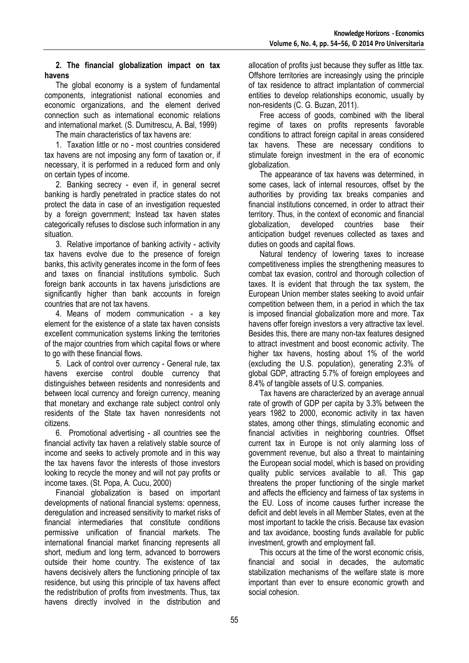### **2. The financial globalization impact on tax havens**

The global economy is a system of fundamental components, integrationist national economies and economic organizations, and the element derived connection such as international economic relations and international market. (S. Dumitrescu, A. Bal, 1999)

The main characteristics of tax havens are:

1. Taxation little or no - most countries considered tax havens are not imposing any form of taxation or, if necessary, it is performed in a reduced form and only on certain types of income.

2. Banking secrecy - even if, in general secret banking is hardly penetrated in practice states do not protect the data in case of an investigation requested by a foreign government; Instead tax haven states categorically refuses to disclose such information in any situation.

3. Relative importance of banking activity - activity tax havens evolve due to the presence of foreign banks, this activity generates income in the form of fees and taxes on financial institutions symbolic. Such foreign bank accounts in tax havens jurisdictions are significantly higher than bank accounts in foreign countries that are not tax havens.

4. Means of modern communication - a key element for the existence of a state tax haven consists excellent communication systems linking the territories of the major countries from which capital flows or where to go with these financial flows.

5. Lack of control over currency - General rule, tax havens exercise control double currency that distinguishes between residents and nonresidents and between local currency and foreign currency, meaning that monetary and exchange rate subject control only residents of the State tax haven nonresidents not citizens.

6. Promotional advertising - all countries see the financial activity tax haven a relatively stable source of income and seeks to actively promote and in this way the tax havens favor the interests of those investors looking to recycle the money and will not pay profits or income taxes. (St. Popa, A. Cucu, 2000)

Financial globalization is based on important developments of national financial systems: openness, deregulation and increased sensitivity to market risks of financial intermediaries that constitute conditions permissive unification of financial markets. The international financial market financing represents all short, medium and long term, advanced to borrowers outside their home country. The existence of tax havens decisively alters the functioning principle of tax residence, but using this principle of tax havens affect the redistribution of profits from investments. Thus, tax havens directly involved in the distribution and

allocation of profits just because they suffer as little tax. Offshore territories are increasingly using the principle of tax residence to attract implantation of commercial entities to develop relationships economic, usually by non-residents (C. G. Buzan, 2011).

Free access of goods, combined with the liberal regime of taxes on profits represents favorable conditions to attract foreign capital in areas considered tax havens. These are necessary conditions to stimulate foreign investment in the era of economic globalization.

The appearance of tax havens was determined, in some cases, lack of internal resources, offset by the authorities by providing tax breaks companies and financial institutions concerned, in order to attract their territory. Thus, in the context of economic and financial globalization, developed countries base their anticipation budget revenues collected as taxes and duties on goods and capital flows.

Natural tendency of lowering taxes to increase competitiveness implies the strengthening measures to combat tax evasion, control and thorough collection of taxes. It is evident that through the tax system, the European Union member states seeking to avoid unfair competition between them, in a period in which the tax is imposed financial globalization more and more. Tax havens offer foreign investors a very attractive tax level. Besides this, there are many non-tax features designed to attract investment and boost economic activity. The higher tax havens, hosting about 1% of the world (excluding the U.S. population), generating 2.3% of global GDP, attracting 5.7% of foreign employees and 8.4% of tangible assets of U.S. companies.

Tax havens are characterized by an average annual rate of growth of GDP per capita by 3.3% between the years 1982 to 2000, economic activity in tax haven states, among other things, stimulating economic and financial activities in neighboring countries. Offset current tax in Europe is not only alarming loss of government revenue, but also a threat to maintaining the European social model, which is based on providing quality public services available to all. This gap threatens the proper functioning of the single market and affects the efficiency and fairness of tax systems in the EU. Loss of income causes further increase the deficit and debt levels in all Member States, even at the most important to tackle the crisis. Because tax evasion and tax avoidance, boosting funds available for public investment, growth and employment fall.

This occurs at the time of the worst economic crisis, financial and social in decades, the automatic stabilization mechanisms of the welfare state is more important than ever to ensure economic growth and social cohesion.